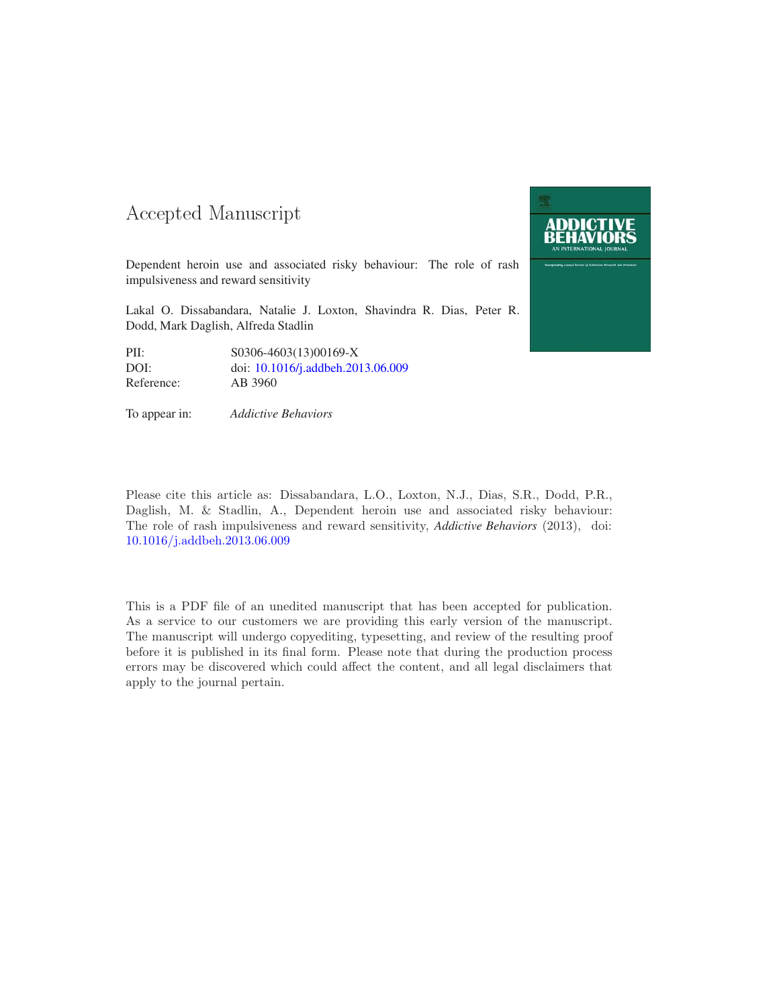### 

Dependent heroin use and associated risky behaviour: The role of rash impulsiveness and reward sensitivity

Lakal O. Dissabandara, Natalie J. Loxton, Shavindra R. Dias, Peter R. Dodd, Mark Daglish, Alfreda Stadlin

| PII:       | S0306-4603(13)00169-X             |
|------------|-----------------------------------|
| DOI:       | doi: 10.1016/j.addbeh.2013.06.009 |
| Reference: | AB 3960                           |

To appear in: *Addictive Behaviors*



Please cite this article as: Dissabandara, L.O., Loxton, N.J., Dias, S.R., Dodd, P.R., Daglish, M. & Stadlin, A., Dependent heroin use and associated risky behaviour: The role of rash impulsiveness and reward sensitivity, *Addictive Behaviors* (2013), doi: 10.1016/j.addbeh.2013.06.009

This is a PDF file of an unedited manuscript that has been accepted for publication. As a service to our customers we are providing this early version of the manuscript. The manuscript will undergo copyediting, typesetting, and review of the resulting proof before it is published in its final form. Please note that during the production process errors may be discovered which could affect the content, and all legal disclaimers that apply to the journal pertain.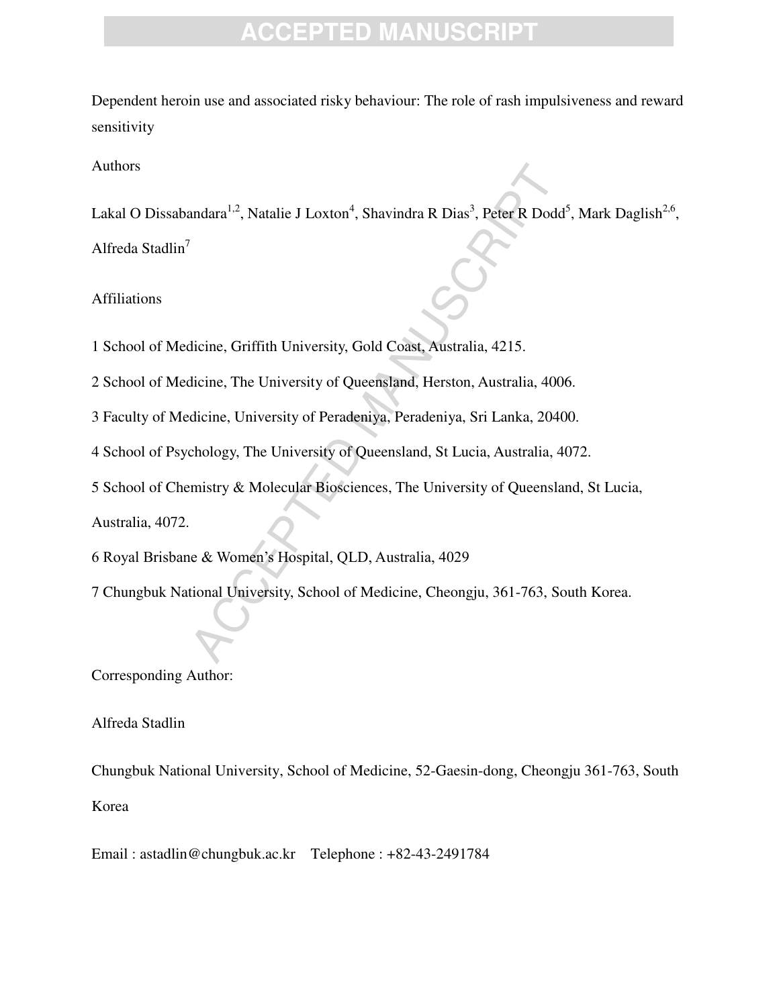Dependent heroin use and associated risky behaviour: The role of rash impulsiveness and reward sensitivity

#### Authors

andara<sup>1,2</sup>, Natalie J Loxton<sup>4</sup>, Shavindra R Dias<sup>3</sup>, Peter R Dodd<sup>4</sup><br>
Ilicine, Griffith University, Gold Coast, Australia, 4215.<br>
Ilicine, The University of Queensland, Herston, Australia, 400<br>
dicine, University of Pera Lakal O Dissabandara<sup>1,2</sup>, Natalie J Loxton<sup>4</sup>, Shavindra R Dias<sup>3</sup>, Peter R Dodd<sup>5</sup>, Mark Daglish<sup>2,6</sup>, Alfreda Stadlin<sup>7</sup>

Affiliations

1 School of Medicine, Griffith University, Gold Coast, Australia, 4215.

2 School of Medicine, The University of Queensland, Herston, Australia, 4006.

3 Faculty of Medicine, University of Peradeniya, Peradeniya, Sri Lanka, 20400.

4 School of Psychology, The University of Queensland, St Lucia, Australia, 4072.

5 School of Chemistry & Molecular Biosciences, The University of Queensland, St Lucia,

Australia, 4072.

6 Royal Brisbane & Women's Hospital, QLD, Australia, 4029

7 Chungbuk National University, School of Medicine, Cheongju, 361-763, South Korea.

Corresponding Author:

Alfreda Stadlin

Chungbuk National University, School of Medicine, 52-Gaesin-dong, Cheongju 361-763, South Korea

Email : astadlin@chungbuk.ac.krTelephone : +82-43-2491784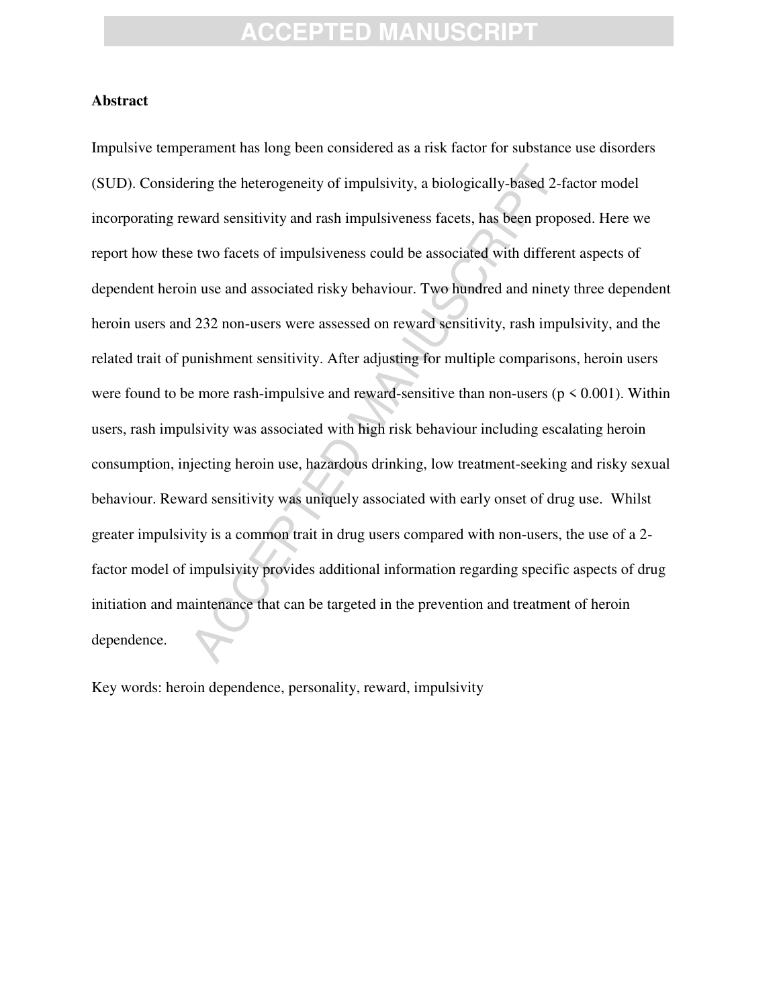#### **Abstract**

ring the heterogeneity of impulsivity, a biologically-based 2-f.<br>ward sensitivity and rash impulsiveness facets, has been prope<br>t two facets of impulsiveness could be associated with differer<br>n use and associated risky beh Impulsive temperament has long been considered as a risk factor for substance use disorders (SUD). Considering the heterogeneity of impulsivity, a biologically-based 2-factor model incorporating reward sensitivity and rash impulsiveness facets, has been proposed. Here we report how these two facets of impulsiveness could be associated with different aspects of dependent heroin use and associated risky behaviour. Two hundred and ninety three dependent heroin users and 232 non-users were assessed on reward sensitivity, rash impulsivity, and the related trait of punishment sensitivity. After adjusting for multiple comparisons, heroin users were found to be more rash-impulsive and reward-sensitive than non-users ( $p \le 0.001$ ). Within users, rash impulsivity was associated with high risk behaviour including escalating heroin consumption, injecting heroin use, hazardous drinking, low treatment-seeking and risky sexual behaviour. Reward sensitivity was uniquely associated with early onset of drug use. Whilst greater impulsivity is a common trait in drug users compared with non-users, the use of a 2 factor model of impulsivity provides additional information regarding specific aspects of drug initiation and maintenance that can be targeted in the prevention and treatment of heroin dependence.

Key words: heroin dependence, personality, reward, impulsivity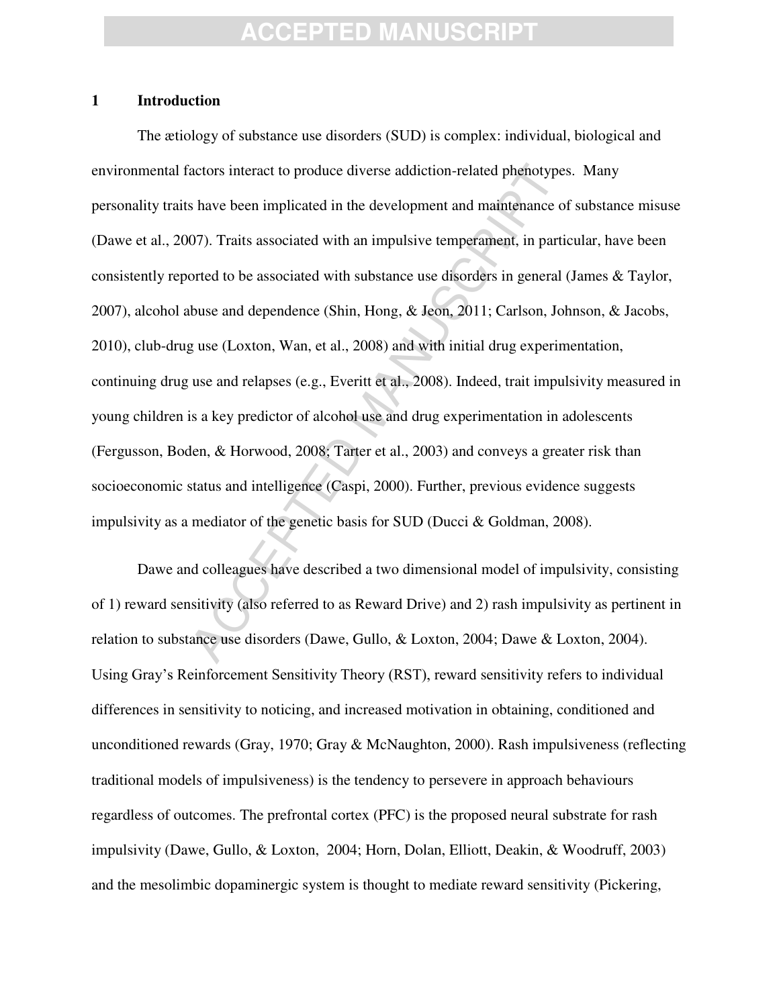#### **1 Introduction**

actors interact to produce diverse addiction-related phenotypes<br>s have been implicated in the development and maintenance of<br>07). Traits associated with an impulsive temperament, in parti-<br>orted to be associated with subst The ætiology of substance use disorders (SUD) is complex: individual, biological and environmental factors interact to produce diverse addiction-related phenotypes. Many personality traits have been implicated in the development and maintenance of substance misuse (Dawe et al., 2007). Traits associated with an impulsive temperament, in particular, have been consistently reported to be associated with substance use disorders in general (James & Taylor, 2007), alcohol abuse and dependence (Shin, Hong, & Jeon, 2011; Carlson, Johnson, & Jacobs, 2010), club-drug use (Loxton, Wan, et al., 2008) and with initial drug experimentation, continuing drug use and relapses (e.g., Everitt et al., 2008). Indeed, trait impulsivity measured in young children is a key predictor of alcohol use and drug experimentation in adolescents (Fergusson, Boden, & Horwood, 2008; Tarter et al., 2003) and conveys a greater risk than socioeconomic status and intelligence (Caspi, 2000). Further, previous evidence suggests impulsivity as a mediator of the genetic basis for SUD (Ducci & Goldman, 2008).

Dawe and colleagues have described a two dimensional model of impulsivity, consisting of 1) reward sensitivity (also referred to as Reward Drive) and 2) rash impulsivity as pertinent in relation to substance use disorders (Dawe, Gullo, & Loxton, 2004; Dawe & Loxton, 2004). Using Gray's Reinforcement Sensitivity Theory (RST), reward sensitivity refers to individual differences in sensitivity to noticing, and increased motivation in obtaining, conditioned and unconditioned rewards (Gray, 1970; Gray & McNaughton, 2000). Rash impulsiveness (reflecting traditional models of impulsiveness) is the tendency to persevere in approach behaviours regardless of outcomes. The prefrontal cortex (PFC) is the proposed neural substrate for rash impulsivity (Dawe, Gullo, & Loxton, 2004; Horn, Dolan, Elliott, Deakin, & Woodruff, 2003) and the mesolimbic dopaminergic system is thought to mediate reward sensitivity (Pickering,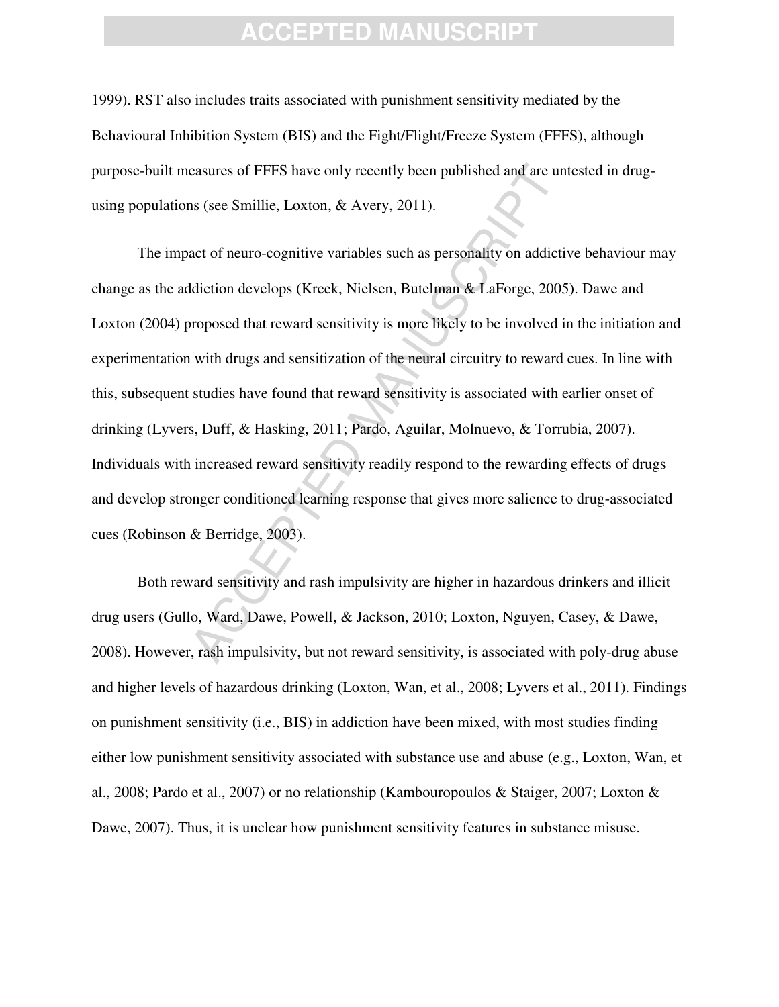1999). RST also includes traits associated with punishment sensitivity mediated by the Behavioural Inhibition System (BIS) and the Fight/Flight/Freeze System (FFFS), although purpose-built measures of FFFS have only recently been published and are untested in drugusing populations (see Smillie, Loxton, & Avery, 2011).

easures of FFFS have only recently been published and are un<br>as (see Smillie, Loxton, & Avery, 2011).<br>act of neuro-cognitive variables such as personality on addictit<br>diction develops (Kreek, Nielsen, Butelman & LaForge, 2 The impact of neuro-cognitive variables such as personality on addictive behaviour may change as the addiction develops (Kreek, Nielsen, Butelman & LaForge, 2005). Dawe and Loxton (2004) proposed that reward sensitivity is more likely to be involved in the initiation and experimentation with drugs and sensitization of the neural circuitry to reward cues. In line with this, subsequent studies have found that reward sensitivity is associated with earlier onset of drinking (Lyvers, Duff, & Hasking, 2011; Pardo, Aguilar, Molnuevo, & Torrubia, 2007). Individuals with increased reward sensitivity readily respond to the rewarding effects of drugs and develop stronger conditioned learning response that gives more salience to drug-associated cues (Robinson & Berridge, 2003).

Both reward sensitivity and rash impulsivity are higher in hazardous drinkers and illicit drug users (Gullo, Ward, Dawe, Powell, & Jackson, 2010; Loxton, Nguyen, Casey, & Dawe, 2008). However, rash impulsivity, but not reward sensitivity, is associated with poly-drug abuse and higher levels of hazardous drinking (Loxton, Wan, et al., 2008; Lyvers et al., 2011). Findings on punishment sensitivity (i.e., BIS) in addiction have been mixed, with most studies finding either low punishment sensitivity associated with substance use and abuse (e.g., Loxton, Wan, et al., 2008; Pardo et al., 2007) or no relationship (Kambouropoulos & Staiger, 2007; Loxton & Dawe, 2007). Thus, it is unclear how punishment sensitivity features in substance misuse.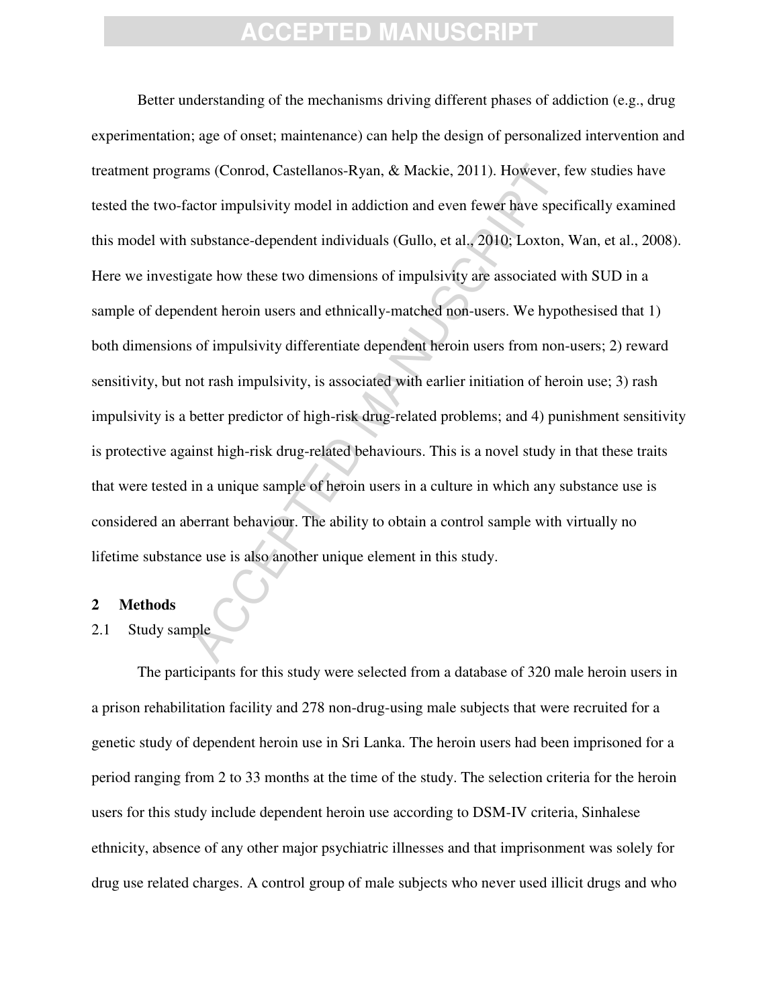ams (Conrod, Castellanos-Ryan, & Mackie, 2011). However, there are actor impulsivity model in addiction and even fewer have speced substance-dependent individuals (Gullo, et al., 2010; Loxton, gate how these two dimensions Better understanding of the mechanisms driving different phases of addiction (e.g., drug experimentation; age of onset; maintenance) can help the design of personalized intervention and treatment programs (Conrod, Castellanos-Ryan, & Mackie, 2011). However, few studies have tested the two-factor impulsivity model in addiction and even fewer have specifically examined this model with substance-dependent individuals (Gullo, et al., 2010; Loxton, Wan, et al., 2008). Here we investigate how these two dimensions of impulsivity are associated with SUD in a sample of dependent heroin users and ethnically-matched non-users. We hypothesised that 1) both dimensions of impulsivity differentiate dependent heroin users from non-users; 2) reward sensitivity, but not rash impulsivity, is associated with earlier initiation of heroin use; 3) rash impulsivity is a better predictor of high-risk drug-related problems; and 4) punishment sensitivity is protective against high-risk drug-related behaviours. This is a novel study in that these traits that were tested in a unique sample of heroin users in a culture in which any substance use is considered an aberrant behaviour. The ability to obtain a control sample with virtually no lifetime substance use is also another unique element in this study.

#### **2 Methods**

### 2.1 Study sample

The participants for this study were selected from a database of 320 male heroin users in a prison rehabilitation facility and 278 non-drug-using male subjects that were recruited for a genetic study of dependent heroin use in Sri Lanka. The heroin users had been imprisoned for a period ranging from 2 to 33 months at the time of the study. The selection criteria for the heroin users for this study include dependent heroin use according to DSM-IV criteria, Sinhalese ethnicity, absence of any other major psychiatric illnesses and that imprisonment was solely for drug use related charges. A control group of male subjects who never used illicit drugs and who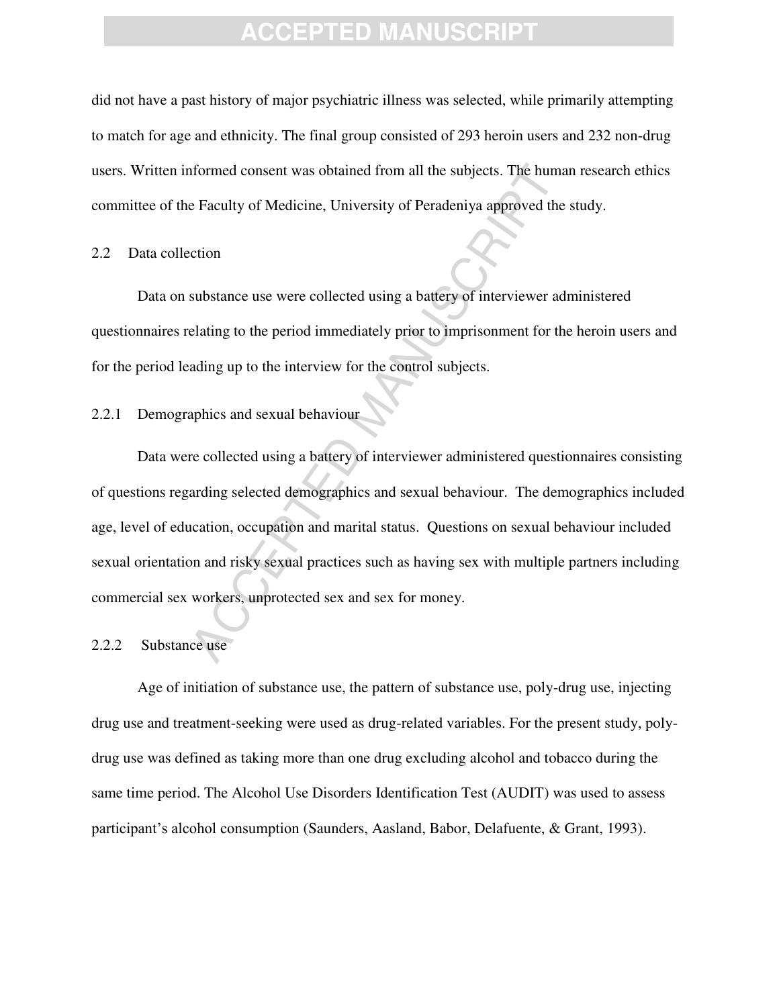did not have a past history of major psychiatric illness was selected, while primarily attempting to match for age and ethnicity. The final group consisted of 293 heroin users and 232 non-drug users. Written informed consent was obtained from all the subjects. The human research ethics committee of the Faculty of Medicine, University of Peradeniya approved the study.

#### 2.2 Data collection

Data on substance use were collected using a battery of interviewer administered questionnaires relating to the period immediately prior to imprisonment for the heroin users and for the period leading up to the interview for the control subjects.

### 2.2.1 Demographics and sexual behaviour

formed consent was obtained from all the subjects. The huma<br>
e Faculty of Medicine, University of Peradeniya approved the<br>
ction<br>
substance use were collected using a battery of interviewer ad<br>
elating to the period immedi Data were collected using a battery of interviewer administered questionnaires consisting of questions regarding selected demographics and sexual behaviour. The demographics included age, level of education, occupation and marital status. Questions on sexual behaviour included sexual orientation and risky sexual practices such as having sex with multiple partners including commercial sex workers, unprotected sex and sex for money.

#### 2.2.2 Substance use

Age of initiation of substance use, the pattern of substance use, poly-drug use, injecting drug use and treatment-seeking were used as drug-related variables. For the present study, polydrug use was defined as taking more than one drug excluding alcohol and tobacco during the same time period. The Alcohol Use Disorders Identification Test (AUDIT) was used to assess participant's alcohol consumption (Saunders, Aasland, Babor, Delafuente, & Grant, 1993).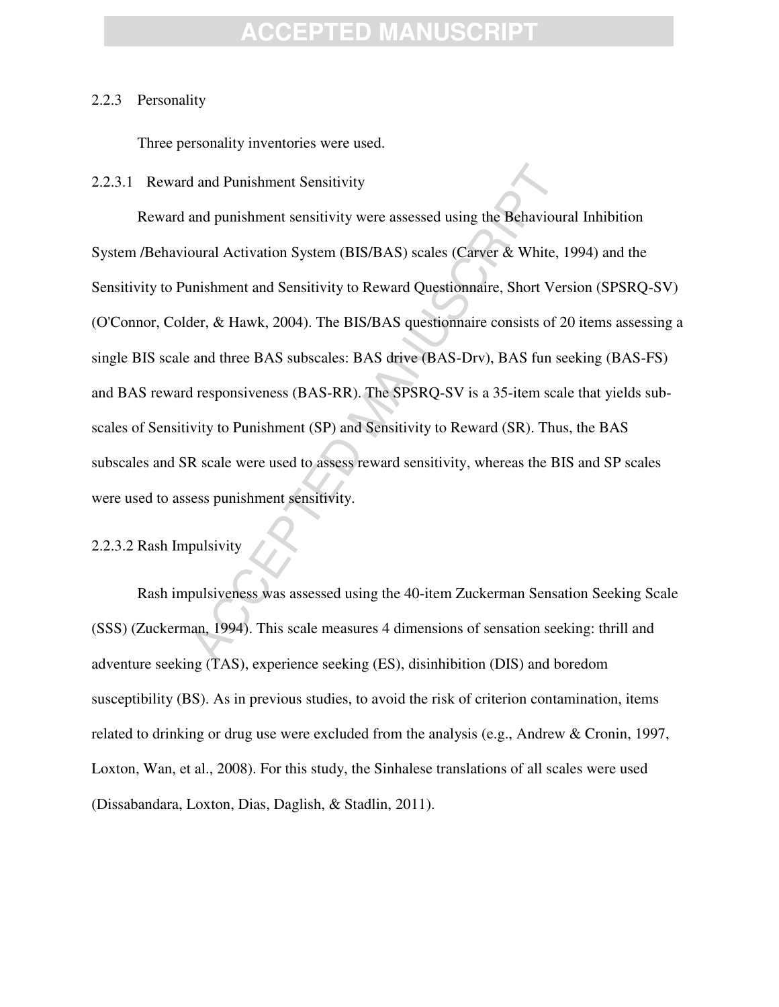#### 2.2.3 Personality

Three personality inventories were used.

#### 2.2.3.1 Reward and Punishment Sensitivity

d and Punishment Sensitivity<br>and punishment sensitivity were assessed using the Behaviour<br>oural Activation System (BIS/BAS) scales (Carver & White, 1<br>mishment and Sensitivity to Reward Questionnaire, Short Ver<br>ler, & Hawk, Reward and punishment sensitivity were assessed using the Behavioural Inhibition System /Behavioural Activation System (BIS/BAS) scales (Carver & White, 1994) and the Sensitivity to Punishment and Sensitivity to Reward Questionnaire, Short Version (SPSRQ-SV) (O'Connor, Colder, & Hawk, 2004). The BIS/BAS questionnaire consists of 20 items assessing a single BIS scale and three BAS subscales: BAS drive (BAS-Drv), BAS fun seeking (BAS-FS) and BAS reward responsiveness (BAS-RR). The SPSRQ-SV is a 35-item scale that yields subscales of Sensitivity to Punishment (SP) and Sensitivity to Reward (SR). Thus, the BAS subscales and SR scale were used to assess reward sensitivity, whereas the BIS and SP scales were used to assess punishment sensitivity.

### 2.2.3.2 Rash Impulsivity

Rash impulsiveness was assessed using the 40-item Zuckerman Sensation Seeking Scale (SSS) (Zuckerman, 1994). This scale measures 4 dimensions of sensation seeking: thrill and adventure seeking (TAS), experience seeking (ES), disinhibition (DIS) and boredom susceptibility (BS). As in previous studies, to avoid the risk of criterion contamination, items related to drinking or drug use were excluded from the analysis (e.g., Andrew & Cronin, 1997, Loxton, Wan, et al., 2008). For this study, the Sinhalese translations of all scales were used (Dissabandara, Loxton, Dias, Daglish, & Stadlin, 2011).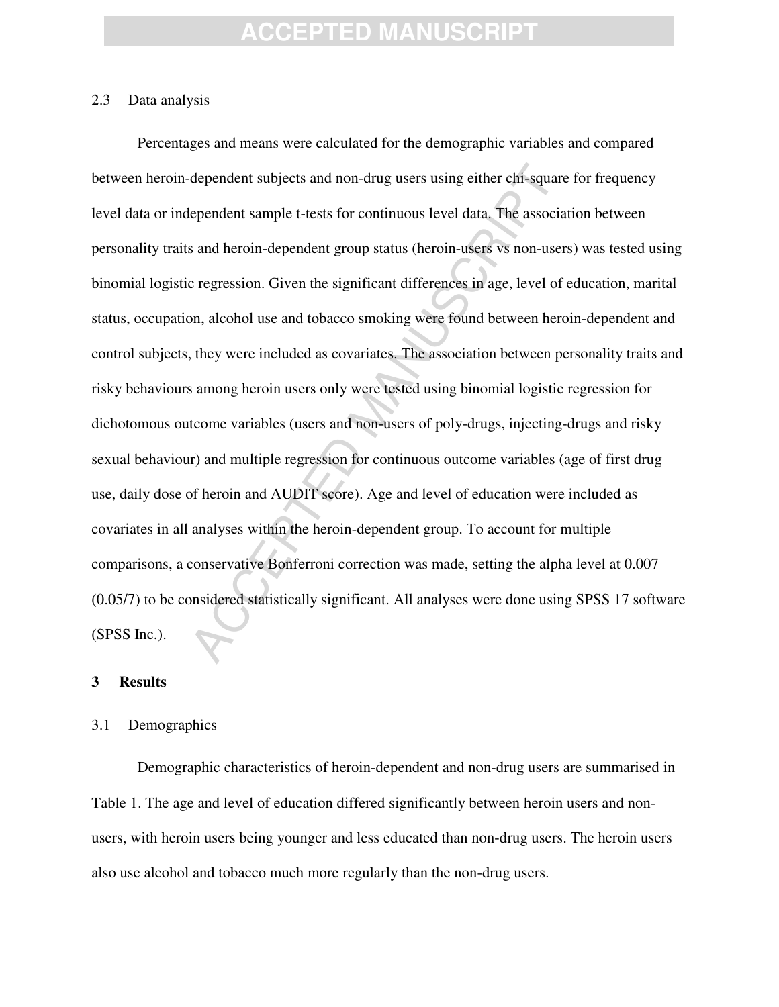#### 2.3 Data analysis

dependent subjects and non-drug users using either chi-square<br>lependent sample t-tests for continuous level data. The associa<br>s and heroin-dependent group status (heroin-users vs non-user<br>c regression. Given the significan Percentages and means were calculated for the demographic variables and compared between heroin-dependent subjects and non-drug users using either chi-square for frequency level data or independent sample t-tests for continuous level data. The association between personality traits and heroin-dependent group status (heroin-users vs non-users) was tested using binomial logistic regression. Given the significant differences in age, level of education, marital status, occupation, alcohol use and tobacco smoking were found between heroin-dependent and control subjects, they were included as covariates. The association between personality traits and risky behaviours among heroin users only were tested using binomial logistic regression for dichotomous outcome variables (users and non-users of poly-drugs, injecting-drugs and risky sexual behaviour) and multiple regression for continuous outcome variables (age of first drug use, daily dose of heroin and AUDIT score). Age and level of education were included as covariates in all analyses within the heroin-dependent group. To account for multiple comparisons, a conservative Bonferroni correction was made, setting the alpha level at 0.007 (0.05/7) to be considered statistically significant. All analyses were done using SPSS 17 software (SPSS Inc.).

#### **3 Results**

#### 3.1 Demographics

Demographic characteristics of heroin-dependent and non-drug users are summarised in Table 1. The age and level of education differed significantly between heroin users and nonusers, with heroin users being younger and less educated than non-drug users. The heroin users also use alcohol and tobacco much more regularly than the non-drug users.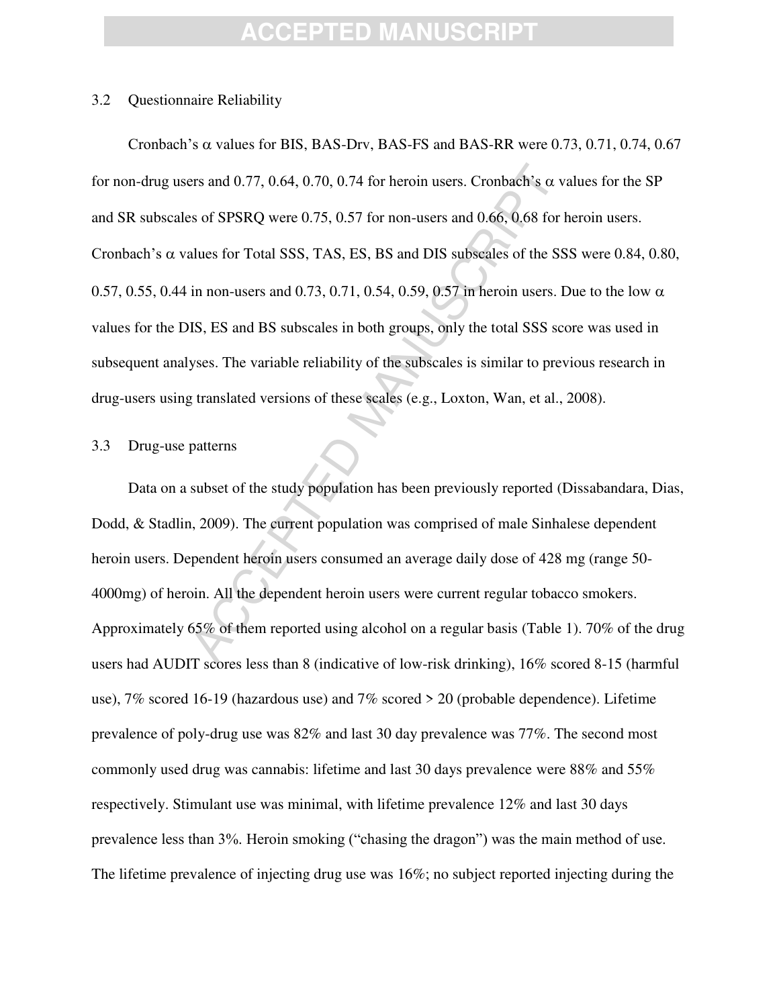#### 3.2 Questionnaire Reliability

ers and 0.77, 0.64, 0.70, 0.74 for heroin users. Cronbach's  $\alpha$  v.<br>
so of SPSRQ were 0.75, 0.57 for non-users and 0.66, 0.68 for halues for Total SSS, TAS, ES, BS and DIS subscales of the SS<br>
in non-users and 0.73, 0.71, Cronbach's  $\alpha$  values for BIS, BAS-Drv, BAS-FS and BAS-RR were 0.73, 0.71, 0.74, 0.67 for non-drug users and 0.77, 0.64, 0.70, 0.74 for heroin users. Cronbach's  $\alpha$  values for the SP and SR subscales of SPSRQ were 0.75, 0.57 for non-users and 0.66, 0.68 for heroin users. Cronbach's  $\alpha$  values for Total SSS, TAS, ES, BS and DIS subscales of the SSS were 0.84, 0.80, 0.57, 0.55, 0.44 in non-users and 0.73, 0.71, 0.54, 0.59, 0.57 in heroin users. Due to the low  $\alpha$ values for the DIS, ES and BS subscales in both groups, only the total SSS score was used in subsequent analyses. The variable reliability of the subscales is similar to previous research in drug-users using translated versions of these scales (e.g., Loxton, Wan, et al., 2008).

#### 3.3 Drug-use patterns

Data on a subset of the study population has been previously reported (Dissabandara, Dias, Dodd, & Stadlin, 2009). The current population was comprised of male Sinhalese dependent heroin users. Dependent heroin users consumed an average daily dose of 428 mg (range 50- 4000mg) of heroin. All the dependent heroin users were current regular tobacco smokers. Approximately 65% of them reported using alcohol on a regular basis (Table 1). 70% of the drug users had AUDIT scores less than 8 (indicative of low-risk drinking), 16% scored 8-15 (harmful use), 7% scored 16-19 (hazardous use) and 7% scored > 20 (probable dependence). Lifetime prevalence of poly-drug use was 82% and last 30 day prevalence was 77%. The second most commonly used drug was cannabis: lifetime and last 30 days prevalence were 88% and 55% respectively. Stimulant use was minimal, with lifetime prevalence 12% and last 30 days prevalence less than 3%. Heroin smoking ("chasing the dragon") was the main method of use. The lifetime prevalence of injecting drug use was 16%; no subject reported injecting during the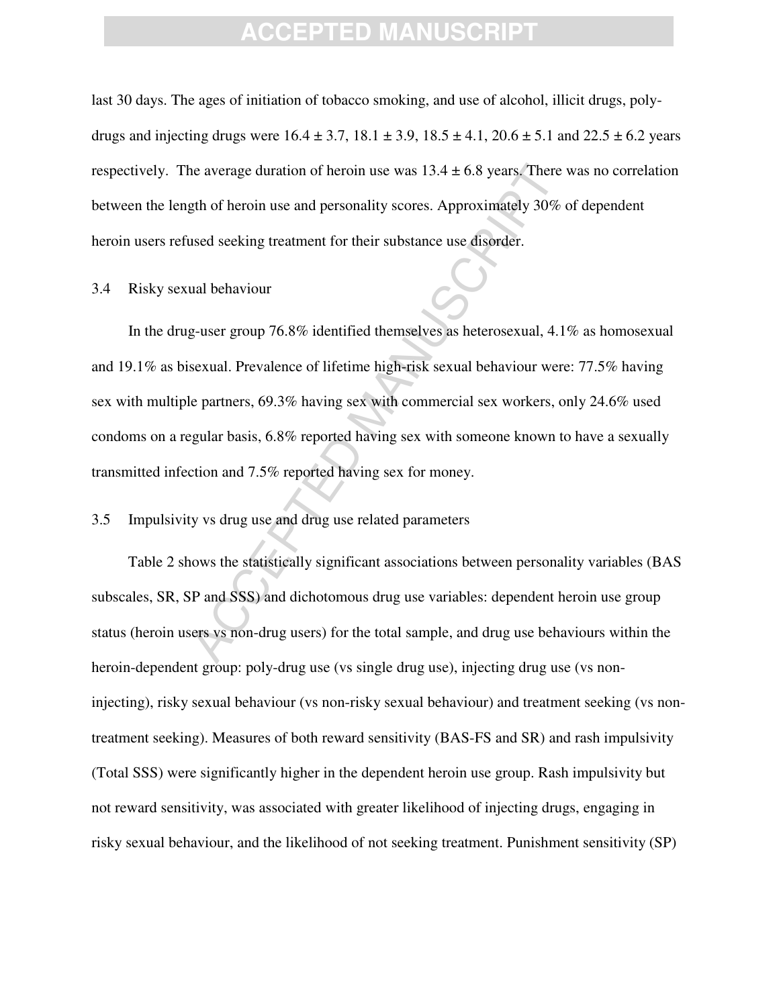last 30 days. The ages of initiation of tobacco smoking, and use of alcohol, illicit drugs, polydrugs and injecting drugs were  $16.4 \pm 3.7$ ,  $18.1 \pm 3.9$ ,  $18.5 \pm 4.1$ ,  $20.6 \pm 5.1$  and  $22.5 \pm 6.2$  years respectively. The average duration of heroin use was  $13.4 \pm 6.8$  years. There was no correlation between the length of heroin use and personality scores. Approximately 30% of dependent heroin users refused seeking treatment for their substance use disorder.

#### 3.4 Risky sexual behaviour

The average duration of heroin use was  $13.4 \pm 6.8$  years. There<br>gth of heroin use and personality scores. Approximately 30%<br>used seeking treatment for their substance use disorder.<br>ual behaviour<br>g-user group 76.8% identi In the drug-user group 76.8% identified themselves as heterosexual, 4.1% as homosexual and 19.1% as bisexual. Prevalence of lifetime high-risk sexual behaviour were: 77.5% having sex with multiple partners, 69.3% having sex with commercial sex workers, only 24.6% used condoms on a regular basis, 6.8% reported having sex with someone known to have a sexually transmitted infection and 7.5% reported having sex for money.

#### 3.5 Impulsivity vs drug use and drug use related parameters

Table 2 shows the statistically significant associations between personality variables (BAS subscales, SR, SP and SSS) and dichotomous drug use variables: dependent heroin use group status (heroin users vs non-drug users) for the total sample, and drug use behaviours within the heroin-dependent group: poly-drug use (vs single drug use), injecting drug use (vs noninjecting), risky sexual behaviour (vs non-risky sexual behaviour) and treatment seeking (vs nontreatment seeking). Measures of both reward sensitivity (BAS-FS and SR) and rash impulsivity (Total SSS) were significantly higher in the dependent heroin use group. Rash impulsivity but not reward sensitivity, was associated with greater likelihood of injecting drugs, engaging in risky sexual behaviour, and the likelihood of not seeking treatment. Punishment sensitivity (SP)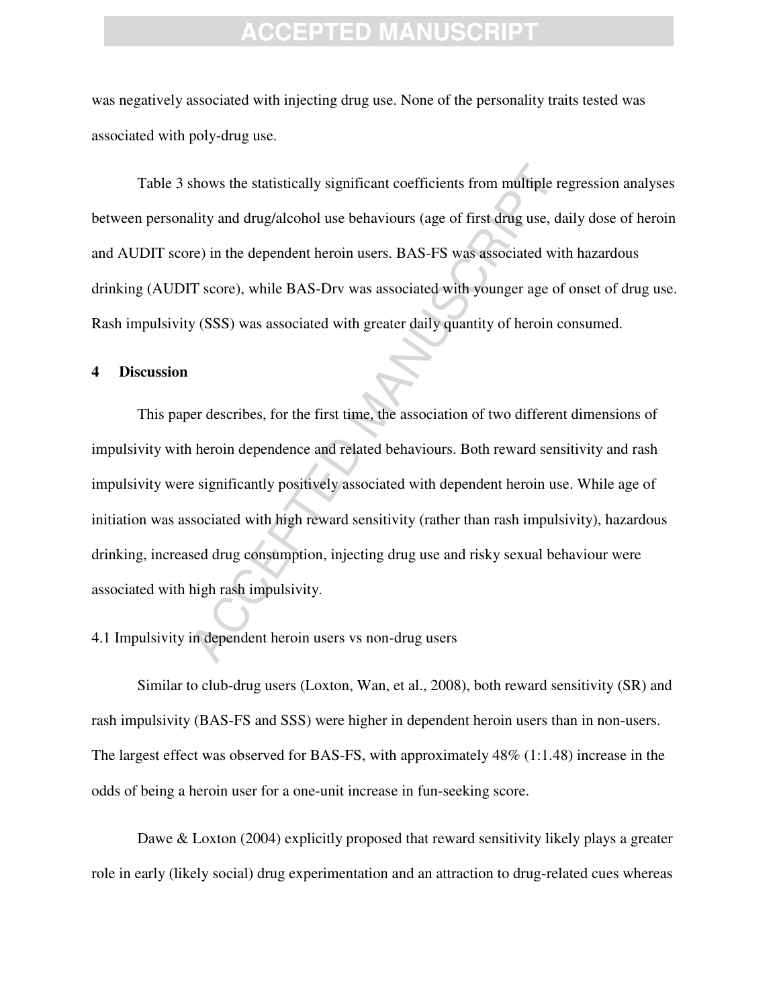was negatively associated with injecting drug use. None of the personality traits tested was associated with poly-drug use.

Table 3 shows the statistically significant coefficients from multiple regression analyses between personality and drug/alcohol use behaviours (age of first drug use, daily dose of heroin and AUDIT score) in the dependent heroin users. BAS-FS was associated with hazardous drinking (AUDIT score), while BAS-Drv was associated with younger age of onset of drug use. Rash impulsivity (SSS) was associated with greater daily quantity of heroin consumed.

#### **4 Discussion**

shows the statistically significant coefficients from multiple reality and drug/alcohol use behaviours (age of first drug use, date) in the dependent heroin users. BAS-FS was associated with T score), while BAS-Drv was ass This paper describes, for the first time, the association of two different dimensions of impulsivity with heroin dependence and related behaviours. Both reward sensitivity and rash impulsivity were significantly positively associated with dependent heroin use. While age of initiation was associated with high reward sensitivity (rather than rash impulsivity), hazardous drinking, increased drug consumption, injecting drug use and risky sexual behaviour were associated with high rash impulsivity.

### 4.1 Impulsivity in dependent heroin users vs non-drug users

Similar to club-drug users (Loxton, Wan, et al., 2008), both reward sensitivity (SR) and rash impulsivity (BAS-FS and SSS) were higher in dependent heroin users than in non-users. The largest effect was observed for BAS-FS, with approximately 48% (1:1.48) increase in the odds of being a heroin user for a one-unit increase in fun-seeking score.

Dawe & Loxton (2004) explicitly proposed that reward sensitivity likely plays a greater role in early (likely social) drug experimentation and an attraction to drug-related cues whereas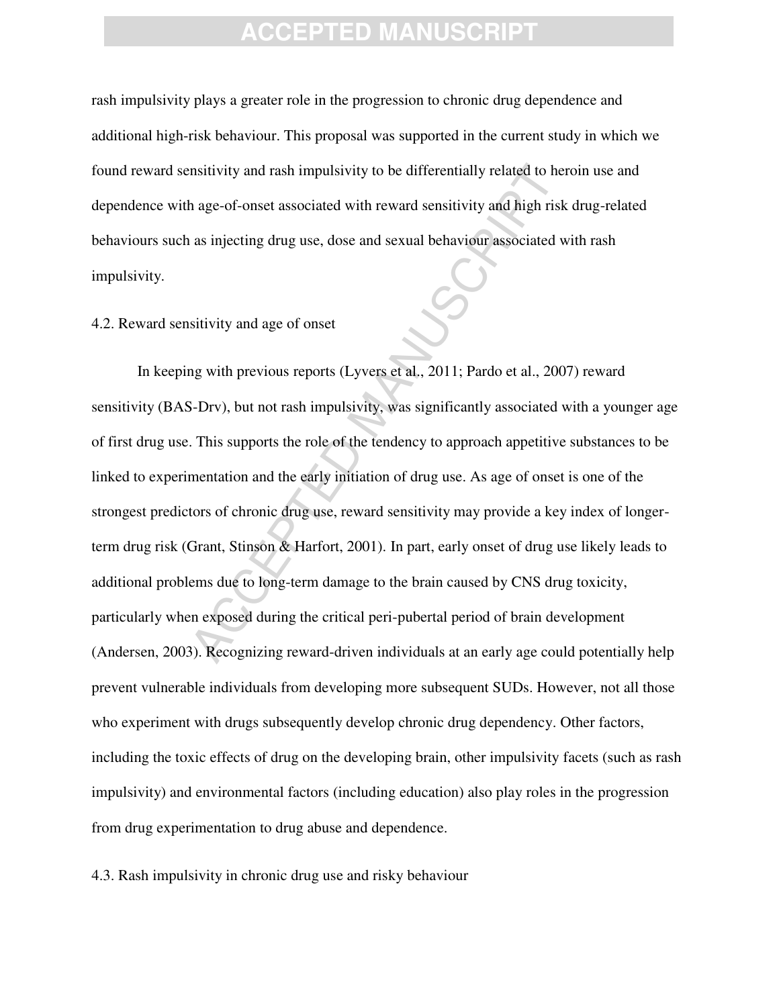rash impulsivity plays a greater role in the progression to chronic drug dependence and additional high-risk behaviour. This proposal was supported in the current study in which we found reward sensitivity and rash impulsivity to be differentially related to heroin use and dependence with age-of-onset associated with reward sensitivity and high risk drug-related behaviours such as injecting drug use, dose and sexual behaviour associated with rash impulsivity.

#### 4.2. Reward sensitivity and age of onset

matrivity and rash impulsivity to be differentially related to her<br>
hage-of-onset associated with reward sensitivity and high risk<br>
as injecting drug use, dose and sexual behaviour associated w<br>
sitivity and age of onset<br> In keeping with previous reports (Lyvers et al., 2011; Pardo et al., 2007) reward sensitivity (BAS-Drv), but not rash impulsivity, was significantly associated with a younger age of first drug use. This supports the role of the tendency to approach appetitive substances to be linked to experimentation and the early initiation of drug use. As age of onset is one of the strongest predictors of chronic drug use, reward sensitivity may provide a key index of longerterm drug risk (Grant, Stinson & Harfort, 2001). In part, early onset of drug use likely leads to additional problems due to long-term damage to the brain caused by CNS drug toxicity, particularly when exposed during the critical peri-pubertal period of brain development (Andersen, 2003). Recognizing reward-driven individuals at an early age could potentially help prevent vulnerable individuals from developing more subsequent SUDs. However, not all those who experiment with drugs subsequently develop chronic drug dependency. Other factors, including the toxic effects of drug on the developing brain, other impulsivity facets (such as rash impulsivity) and environmental factors (including education) also play roles in the progression from drug experimentation to drug abuse and dependence.

4.3. Rash impulsivity in chronic drug use and risky behaviour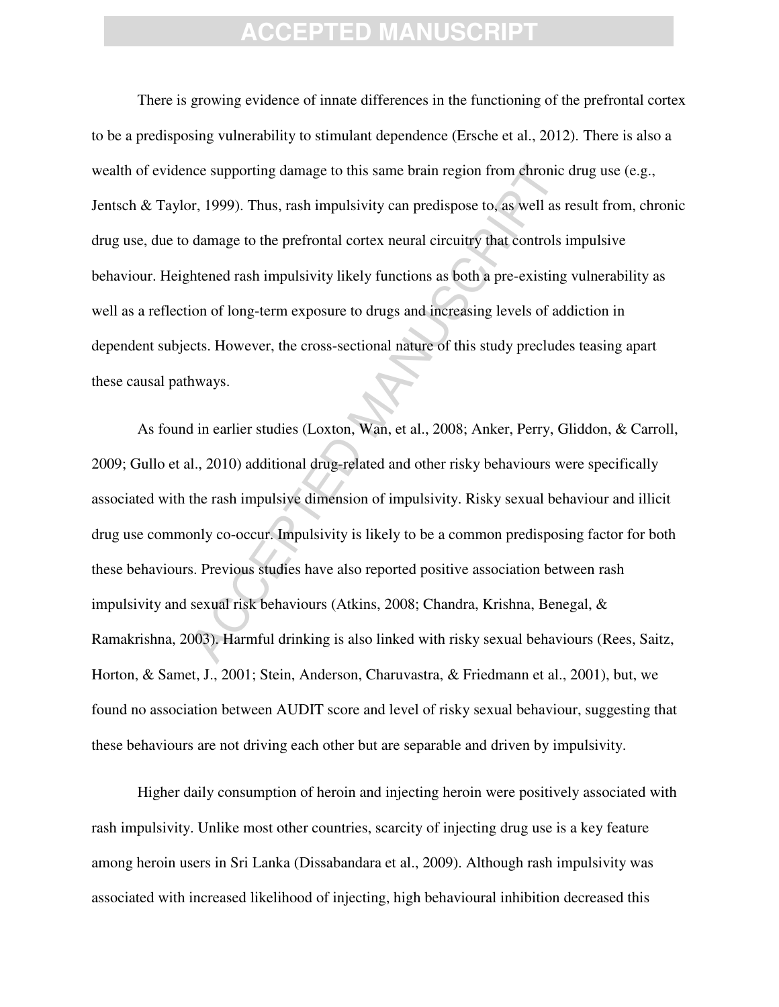There is growing evidence of innate differences in the functioning of the prefrontal cortex to be a predisposing vulnerability to stimulant dependence (Ersche et al., 2012). There is also a wealth of evidence supporting damage to this same brain region from chronic drug use (e.g., Jentsch & Taylor, 1999). Thus, rash impulsivity can predispose to, as well as result from, chronic drug use, due to damage to the prefrontal cortex neural circuitry that controls impulsive behaviour. Heightened rash impulsivity likely functions as both a pre-existing vulnerability as well as a reflection of long-term exposure to drugs and increasing levels of addiction in dependent subjects. However, the cross-sectional nature of this study precludes teasing apart these causal pathways.

incore supporting damage to this same brain region from chronic<br>or, 1999). Thus, rash impulsivity can predispose to, as well as it<br>damage to the prefrontal cortex neural circuitry that controls is<br>thened rash impulsivity l As found in earlier studies (Loxton, Wan, et al., 2008; Anker, Perry, Gliddon, & Carroll, 2009; Gullo et al., 2010) additional drug-related and other risky behaviours were specifically associated with the rash impulsive dimension of impulsivity. Risky sexual behaviour and illicit drug use commonly co-occur. Impulsivity is likely to be a common predisposing factor for both these behaviours. Previous studies have also reported positive association between rash impulsivity and sexual risk behaviours (Atkins, 2008; Chandra, Krishna, Benegal, & Ramakrishna, 2003). Harmful drinking is also linked with risky sexual behaviours (Rees, Saitz, Horton, & Samet, J., 2001; Stein, Anderson, Charuvastra, & Friedmann et al., 2001), but, we found no association between AUDIT score and level of risky sexual behaviour, suggesting that these behaviours are not driving each other but are separable and driven by impulsivity.

Higher daily consumption of heroin and injecting heroin were positively associated with rash impulsivity. Unlike most other countries, scarcity of injecting drug use is a key feature among heroin users in Sri Lanka (Dissabandara et al., 2009). Although rash impulsivity was associated with increased likelihood of injecting, high behavioural inhibition decreased this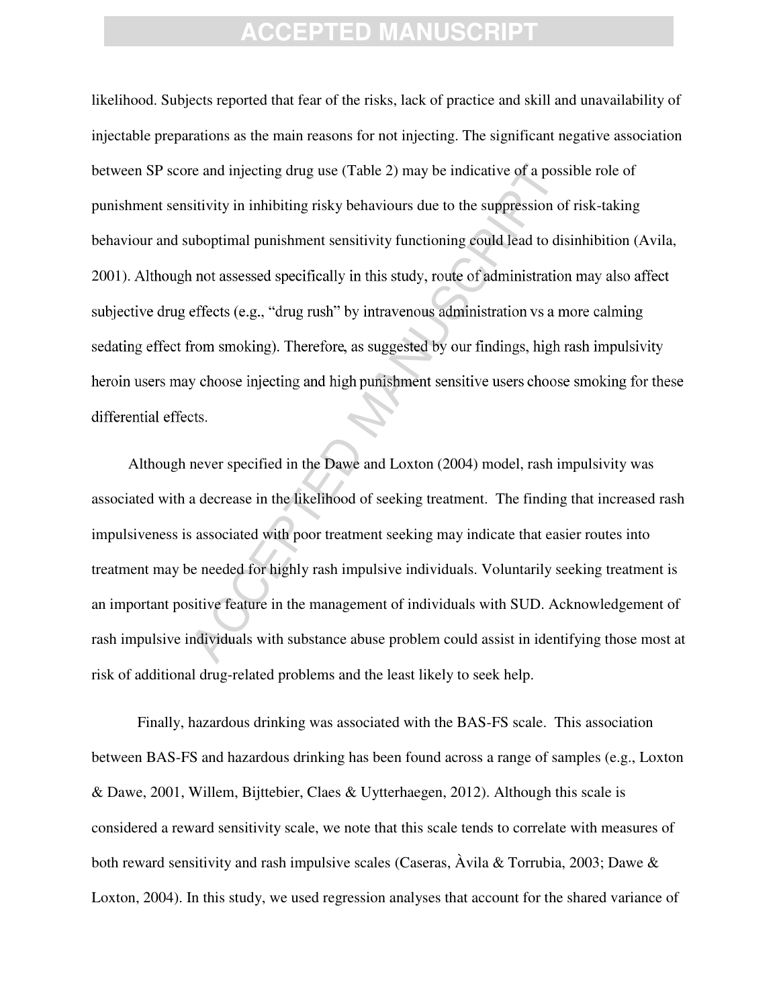re and injecting drug use (Table 2) may be indicative of a poss<br>sitivity in inhibiting risky behaviours due to the suppression of<br>uboptimal punishment sensitivity functioning could lead to dis<br>not assessed specifically in likelihood. Subjects reported that fear of the risks, lack of practice and skill and unavailability of injectable preparations as the main reasons for not injecting. The significant negative association between SP score and injecting drug use (Table 2) may be indicative of a possible role of punishment sensitivity in inhibiting risky behaviours due to the suppression of risk-taking behaviour and suboptimal punishment sensitivity functioning could lead to disinhibition (Avila, 2001). Although not assessed specifically in this study, route of administration may also affect

Although never specified in the Dawe and Loxton (2004) model, rash impulsivity was associated with a decrease in the likelihood of seeking treatment. The finding that increased rash impulsiveness is associated with poor treatment seeking may indicate that easier routes into treatment may be needed for highly rash impulsive individuals. Voluntarily seeking treatment is an important positive feature in the management of individuals with SUD. Acknowledgement of rash impulsive individuals with substance abuse problem could assist in identifying those most at risk of additional drug-related problems and the least likely to seek help.

Finally, hazardous drinking was associated with the BAS-FS scale. This association between BAS-FS and hazardous drinking has been found across a range of samples (e.g., Loxton & Dawe, 2001, Willem, Bijttebier, Claes & Uytterhaegen, 2012). Although this scale is considered a reward sensitivity scale, we note that this scale tends to correlate with measures of both reward sensitivity and rash impulsive scales (Caseras,  $\hat{A}$ vila & Torrubia, 2003; Dawe & Loxton, 2004). In this study, we used regression analyses that account for the shared variance of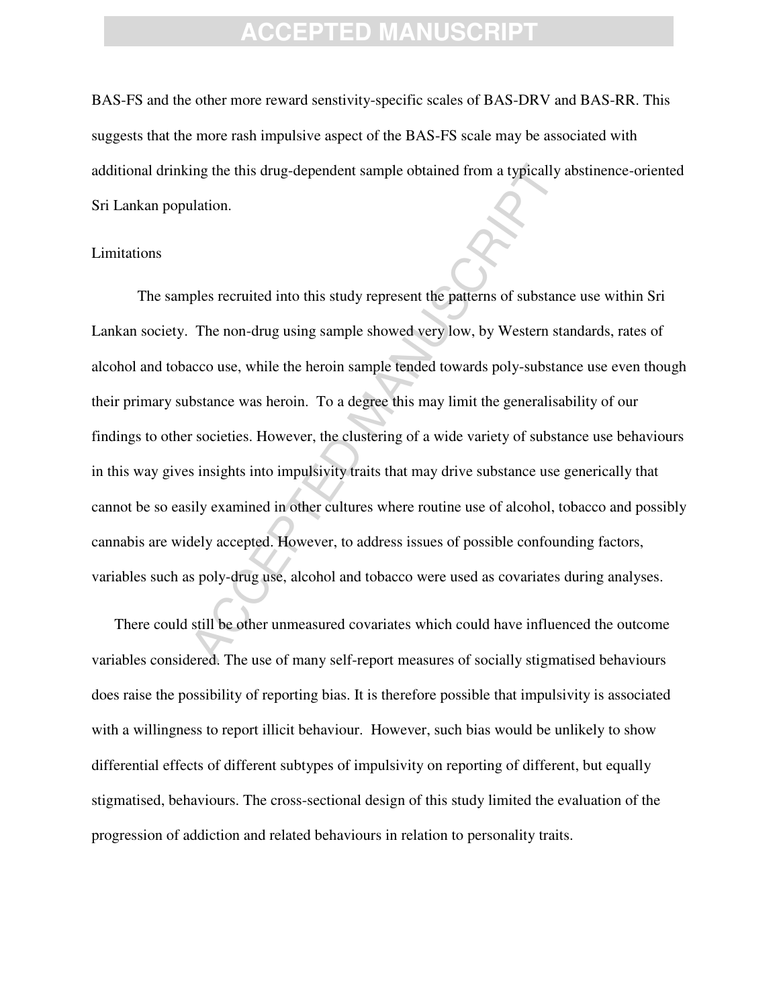BAS-FS and the other more reward senstivity-specific scales of BAS-DRV and BAS-RR. This suggests that the more rash impulsive aspect of the BAS-FS scale may be associated with additional drinking the this drug-dependent sample obtained from a typically abstinence-oriented Sri Lankan population.

#### Limitations

ing the this drug-dependent sample obtained from a typically a<br>
ulation.<br>
luation.<br>
luation.<br>
The non-drug using sample showed very low, by Western stacco<br>
use, while the heroin sample tended towards poly-substant<br>
bstance The samples recruited into this study represent the patterns of substance use within Sri Lankan society. The non-drug using sample showed very low, by Western standards, rates of alcohol and tobacco use, while the heroin sample tended towards poly-substance use even though their primary substance was heroin. To a degree this may limit the generalisability of our findings to other societies. However, the clustering of a wide variety of substance use behaviours in this way gives insights into impulsivity traits that may drive substance use generically that cannot be so easily examined in other cultures where routine use of alcohol, tobacco and possibly cannabis are widely accepted. However, to address issues of possible confounding factors, variables such as poly-drug use, alcohol and tobacco were used as covariates during analyses.

There could still be other unmeasured covariates which could have influenced the outcome variables considered. The use of many self-report measures of socially stigmatised behaviours does raise the possibility of reporting bias. It is therefore possible that impulsivity is associated with a willingness to report illicit behaviour. However, such bias would be unlikely to show differential effects of different subtypes of impulsivity on reporting of different, but equally stigmatised, behaviours. The cross-sectional design of this study limited the evaluation of the progression of addiction and related behaviours in relation to personality traits.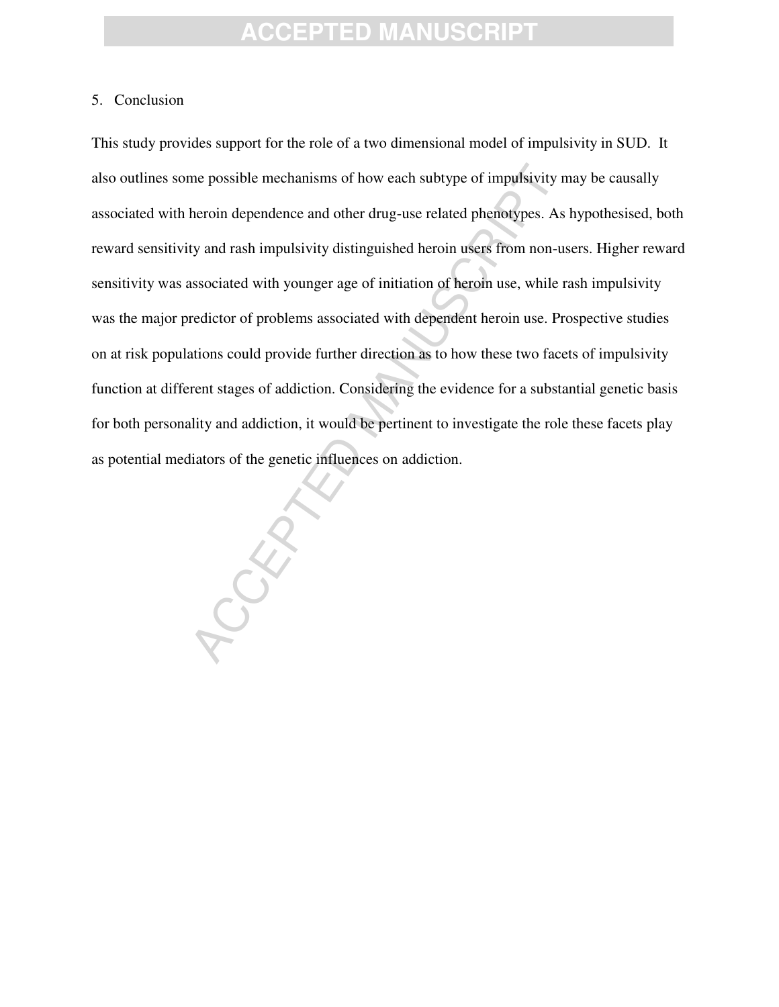#### 5. Conclusion

me possible mechanisms of how each subtype of impulsivity m<br>heroin dependence and other drug-use related phenotypes. As<br>ty and rash impulsivity distinguished heroin users from non-us<br>associated with younger age of initiati This study provides support for the role of a two dimensional model of impulsivity in SUD. It also outlines some possible mechanisms of how each subtype of impulsivity may be causally associated with heroin dependence and other drug-use related phenotypes. As hypothesised, both reward sensitivity and rash impulsivity distinguished heroin users from non-users. Higher reward sensitivity was associated with younger age of initiation of heroin use, while rash impulsivity was the major predictor of problems associated with dependent heroin use. Prospective studies on at risk populations could provide further direction as to how these two facets of impulsivity function at different stages of addiction. Considering the evidence for a substantial genetic basis for both personality and addiction, it would be pertinent to investigate the role these facets play as potential mediators of the genetic influences on addiction.

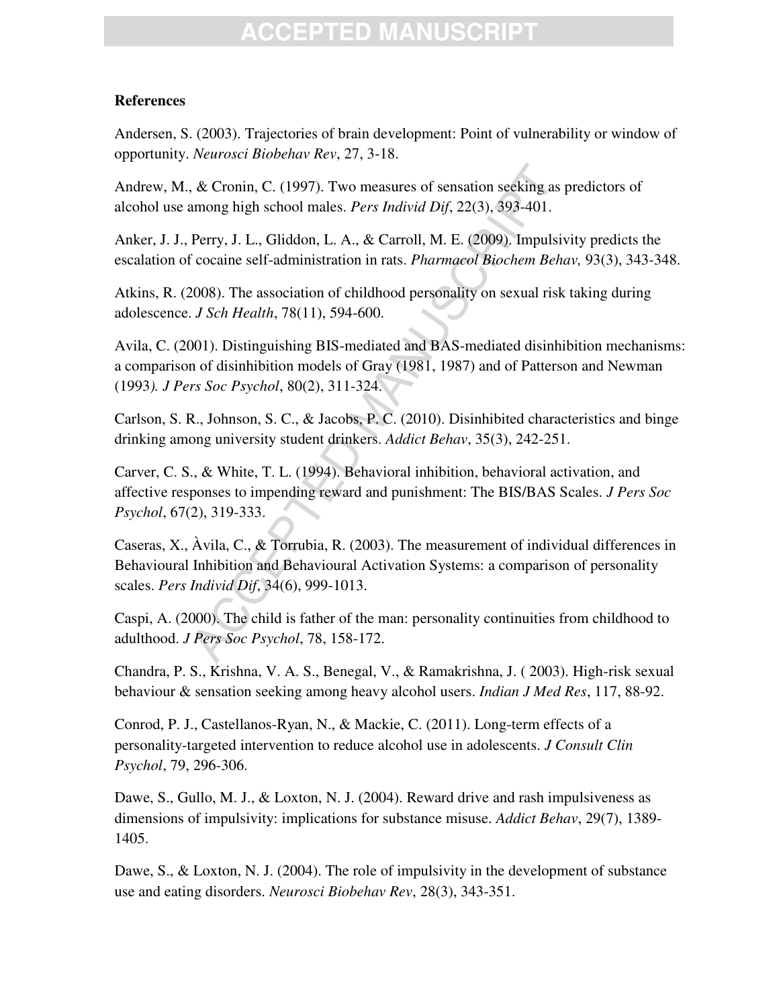#### **References**

Andersen, S. (2003). Trajectories of brain development: Point of vulnerability or window of opportunity. *Neurosci Biobehav Rev*, 27, 3-18.

Andrew, M., & Cronin, C. (1997). Two measures of sensation seeking as predictors of alcohol use among high school males. *Pers Individ Dif*, 22(3), 393-401.

Anker, J. J., Perry, J. L., Gliddon, L. A., & Carroll, M. E. (2009). Impulsivity predicts the escalation of cocaine self-administration in rats. *Pharmacol Biochem Behav,* 93(3), 343-348.

Atkins, R. (2008). The association of childhood personality on sexual risk taking during adolescence. *J Sch Health*, 78(11), 594-600.

Avila, C. (2001). Distinguishing BIS-mediated and BAS-mediated disinhibition mechanisms: a comparison of disinhibition models of Gray (1981, 1987) and of Patterson and Newman (1993*). J Pers Soc Psychol*, 80(2), 311-324.

Carlson, S. R., Johnson, S. C., & Jacobs, P. C. (2010). Disinhibited characteristics and binge drinking among university student drinkers. *Addict Behav*, 35(3), 242-251.

Carver, C. S., & White, T. L. (1994). Behavioral inhibition, behavioral activation, and affective responses to impending reward and punishment: The BIS/BAS Scales. *J Pers Soc Psychol*, 67(2), 319-333.

, & Cronin, C. (1997). Two measures of sensation seeking as mong high school males. *Pers Individ Dif*, 22(3), 393-401.<br>Perry, J. L., Gliddon, L. A., & Carroll, M. E. (2009). Impulsive cocaine self-administration in rats. Caseras, X., Àvila, C., & Torrubia, R. (2003). The measurement of individual differences in Behavioural Inhibition and Behavioural Activation Systems: a comparison of personality scales. *Pers Individ Dif*, 34(6), 999-1013.

Caspi, A. (2000). The child is father of the man: personality continuities from childhood to adulthood. *J Pers Soc Psychol*, 78, 158-172.

Chandra, P. S., Krishna, V. A. S., Benegal, V., & Ramakrishna, J. ( 2003). High-risk sexual behaviour & sensation seeking among heavy alcohol users. *Indian J Med Res*, 117, 88-92.

Conrod, P. J., Castellanos-Ryan, N., & Mackie, C. (2011). Long-term effects of a personality-targeted intervention to reduce alcohol use in adolescents. *J Consult Clin Psychol*, 79, 296-306.

Dawe, S., Gullo, M. J., & Loxton, N. J. (2004). Reward drive and rash impulsiveness as dimensions of impulsivity: implications for substance misuse. *Addict Behav*, 29(7), 1389- 1405.

Dawe, S., & Loxton, N. J. (2004). The role of impulsivity in the development of substance use and eating disorders. *Neurosci Biobehav Rev*, 28(3), 343-351.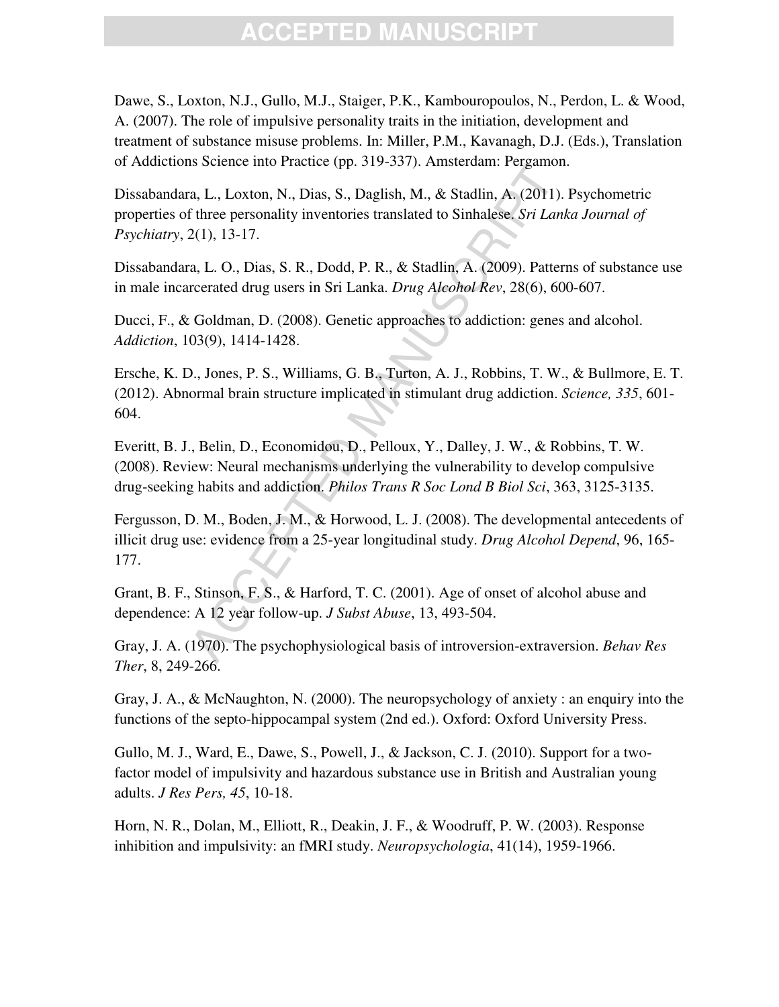Dawe, S., Loxton, N.J., Gullo, M.J., Staiger, P.K., Kambouropoulos, N., Perdon, L. & Wood, A. (2007). The role of impulsive personality traits in the initiation, development and treatment of substance misuse problems. In: Miller, P.M., Kavanagh, D.J. (Eds.), Translation of Addictions Science into Practice (pp. 319-337). Amsterdam: Pergamon.

Dissabandara, L., Loxton, N., Dias, S., Daglish, M., & Stadlin, A. (2011). Psychometric properties of three personality inventories translated to Sinhalese. *Sri Lanka Journal of Psychiatry*, 2(1), 13-17.

Dissabandara, L. O., Dias, S. R., Dodd, P. R., & Stadlin, A. (2009). Patterns of substance use in male incarcerated drug users in Sri Lanka. *Drug Alcohol Rev*, 28(6), 600-607.

Ducci, F., & Goldman, D. (2008). Genetic approaches to addiction: genes and alcohol. *Addiction*, 103(9), 1414-1428.

Ersche, K. D., Jones, P. S., Williams, G. B., Turton, A. J., Robbins, T. W., & Bullmore, E. T. (2012). Abnormal brain structure implicated in stimulant drug addiction. *Science, 335*, 601- 604.

Everitt, B. J., Belin, D., Economidou, D., Pelloux, Y., Dalley, J. W., & Robbins, T. W. (2008). Review: Neural mechanisms underlying the vulnerability to develop compulsive drug-seeking habits and addiction. *Philos Trans R Soc Lond B Biol Sci*, 363, 3125-3135.

a, L., Loxton, N., Dias, S., Daglish, M., & Stadlin, A. (2011).<br>
There personality inventories translated to Sinhalese. *Sri Lank*<br>
2(1), 13-17.<br>
a, L. O., Dias, S. R., Dodd, P. R., & Stadlin, A. (2009). Pattern<br>
recerted Fergusson, D. M., Boden, J. M., & Horwood, L. J. (2008). The developmental antecedents of illicit drug use: evidence from a 25-year longitudinal study. *Drug Alcohol Depend*, 96, 165- 177.

Grant, B. F., Stinson, F. S., & Harford, T. C. (2001). Age of onset of alcohol abuse and dependence: A 12 year follow-up. *J Subst Abuse*, 13, 493-504.

Gray, J. A. (1970). The psychophysiological basis of introversion-extraversion. *Behav Res Ther*, 8, 249-266.

Gray, J. A., & McNaughton, N. (2000). The neuropsychology of anxiety : an enquiry into the functions of the septo-hippocampal system (2nd ed.). Oxford: Oxford University Press.

Gullo, M. J., Ward, E., Dawe, S., Powell, J., & Jackson, C. J. (2010). Support for a twofactor model of impulsivity and hazardous substance use in British and Australian young adults. *J Res Pers, 45*, 10-18.

Horn, N. R., Dolan, M., Elliott, R., Deakin, J. F., & Woodruff, P. W. (2003). Response inhibition and impulsivity: an fMRI study. *Neuropsychologia*, 41(14), 1959-1966.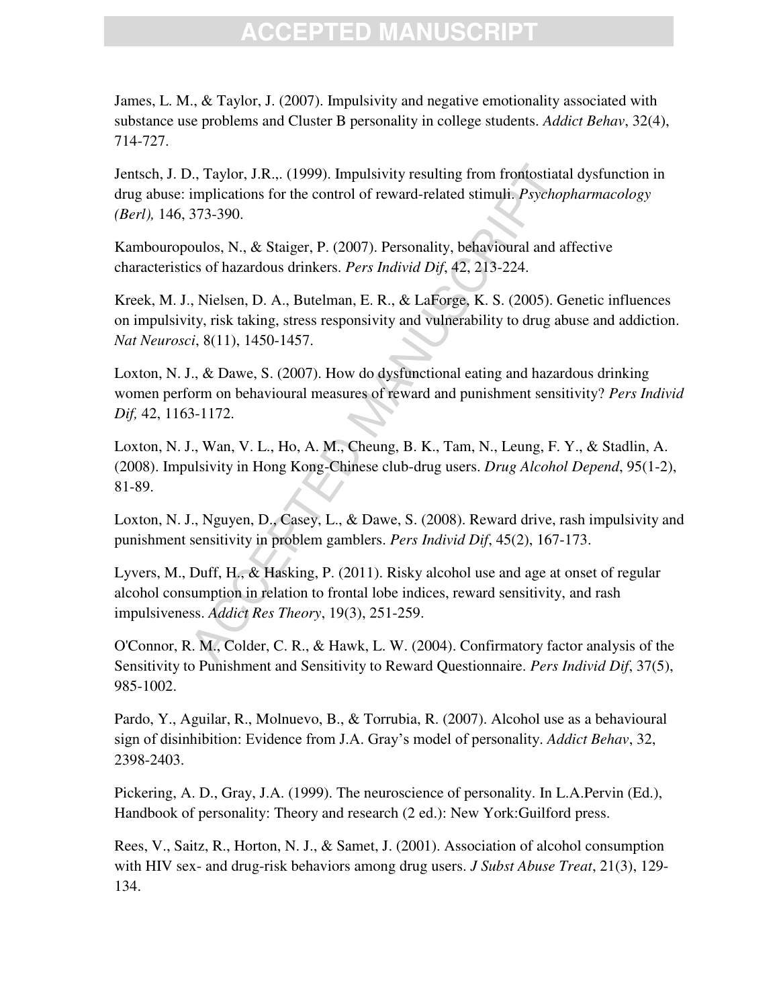James, L. M., & Taylor, J. (2007). Impulsivity and negative emotionality associated with substance use problems and Cluster B personality in college students. *Addict Behav*, 32(4), 714-727.

Jentsch, J. D., Taylor, J.R.,. (1999). Impulsivity resulting from frontostiatal dysfunction in drug abuse: implications for the control of reward-related stimuli. *Psychopharmacology (Berl),* 146, 373-390.

Kambouropoulos, N., & Staiger, P. (2007). Personality, behavioural and affective characteristics of hazardous drinkers. *Pers Individ Dif*, 42, 213-224.

1., Taylor, J.R... (1999). Impulsivity resulting from frontostiata<br>implications for the control of reward-related stimuli. *Psychop*<br>373-390.<br>aulos, N., & Staiger, P. (2007). Personality, behavioural and a<br>cs of hazardous Kreek, M. J., Nielsen, D. A., Butelman, E. R., & LaForge, K. S. (2005). Genetic influences on impulsivity, risk taking, stress responsivity and vulnerability to drug abuse and addiction. *Nat Neurosci*, 8(11), 1450-1457.

Loxton, N. J., & Dawe, S. (2007). How do dysfunctional eating and hazardous drinking women perform on behavioural measures of reward and punishment sensitivity? *Pers Individ Dif,* 42, 1163-1172.

Loxton, N. J., Wan, V. L., Ho, A. M., Cheung, B. K., Tam, N., Leung, F. Y., & Stadlin, A. (2008). Impulsivity in Hong Kong-Chinese club-drug users. *Drug Alcohol Depend*, 95(1-2), 81-89.

Loxton, N. J., Nguyen, D., Casey, L., & Dawe, S. (2008). Reward drive, rash impulsivity and punishment sensitivity in problem gamblers. *Pers Individ Dif*, 45(2), 167-173.

Lyvers, M., Duff, H., & Hasking, P. (2011). Risky alcohol use and age at onset of regular alcohol consumption in relation to frontal lobe indices, reward sensitivity, and rash impulsiveness. *Addict Res Theory*, 19(3), 251-259.

O'Connor, R. M., Colder, C. R., & Hawk, L. W. (2004). Confirmatory factor analysis of the Sensitivity to Punishment and Sensitivity to Reward Questionnaire. *Pers Individ Dif*, 37(5), 985-1002.

Pardo, Y., Aguilar, R., Molnuevo, B., & Torrubia, R. (2007). Alcohol use as a behavioural sign of disinhibition: Evidence from J.A. Gray's model of personality. *Addict Behav*, 32, 2398-2403.

Pickering, A. D., Gray, J.A. (1999). The neuroscience of personality. In L.A.Pervin (Ed.), Handbook of personality: Theory and research (2 ed.): New York:Guilford press.

Rees, V., Saitz, R., Horton, N. J., & Samet, J. (2001). Association of alcohol consumption with HIV sex- and drug-risk behaviors among drug users. *J Subst Abuse Treat*, 21(3), 129- 134.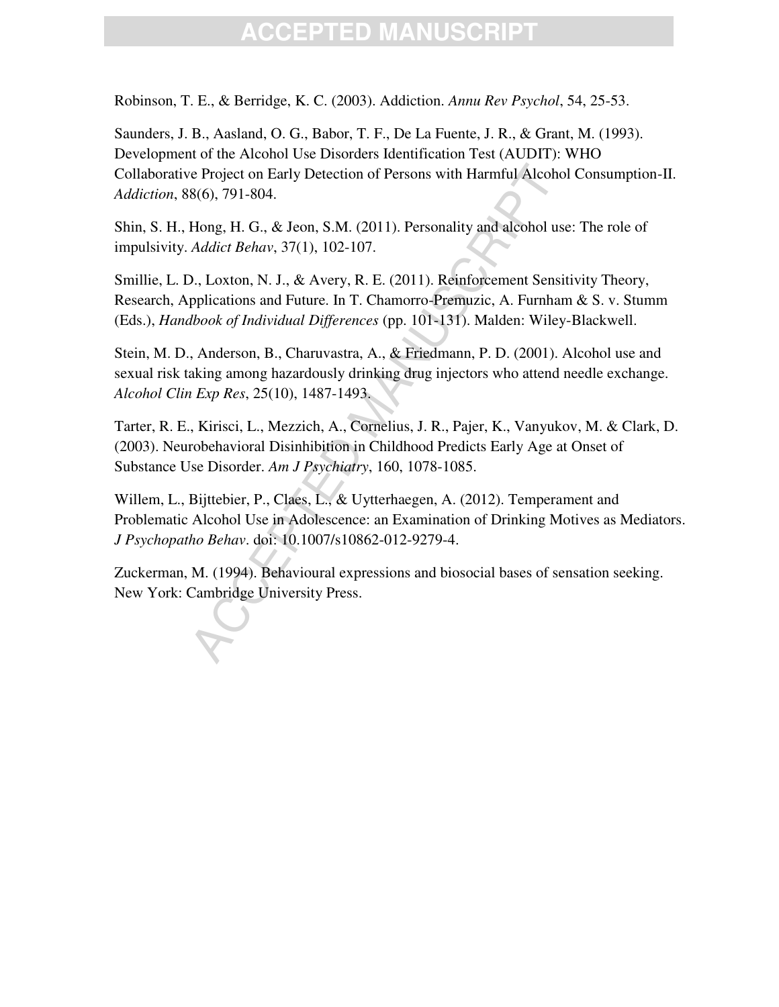Robinson, T. E., & Berridge, K. C. (2003). Addiction. *Annu Rev Psychol*, 54, 25-53.

Saunders, J. B., Aasland, O. G., Babor, T. F., De La Fuente, J. R., & Grant, M. (1993). Development of the Alcohol Use Disorders Identification Test (AUDIT): WHO Collaborative Project on Early Detection of Persons with Harmful Alcohol Consumption-II. *Addiction*, 88(6), 791-804.

Shin, S. H., Hong, H. G., & Jeon, S.M. (2011). Personality and alcohol use: The role of impulsivity. *Addict Behav*, 37(1), 102-107.

Smillie, L. D., Loxton, N. J., & Avery, R. E. (2011). Reinforcement Sensitivity Theory, Research, Applications and Future. In T. Chamorro-Premuzic, A. Furnham & S. v. Stumm (Eds.), *Handbook of Individual Differences* (pp. 101-131). Malden: Wiley-Blackwell.

Stein, M. D., Anderson, B., Charuvastra, A., & Friedmann, P. D. (2001). Alcohol use and sexual risk taking among hazardously drinking drug injectors who attend needle exchange. *Alcohol Clin Exp Res*, 25(10), 1487-1493.

e Project on Early Detection of Persons with Harmful Alcoho<br>8(6), 791-804.<br>Hong, H. G., & Jeon, S.M. (2011). Personality and alcohol use<br>Addict Behav, 37(1), 102-107.<br>D., Loxton, N. J., & Avery, R. E. (2011). Reinforcement Tarter, R. E., Kirisci, L., Mezzich, A., Cornelius, J. R., Pajer, K., Vanyukov, M. & Clark, D. (2003). Neurobehavioral Disinhibition in Childhood Predicts Early Age at Onset of Substance Use Disorder. *Am J Psychiatry*, 160, 1078-1085.

Willem, L., Bijttebier, P., Claes, L., & Uytterhaegen, A. (2012). Temperament and Problematic Alcohol Use in Adolescence: an Examination of Drinking Motives as Mediators. *J Psychopatho Behav*. doi: 10.1007/s10862-012-9279-4.

Zuckerman, M. (1994). Behavioural expressions and biosocial bases of sensation seeking. New York: Cambridge University Press.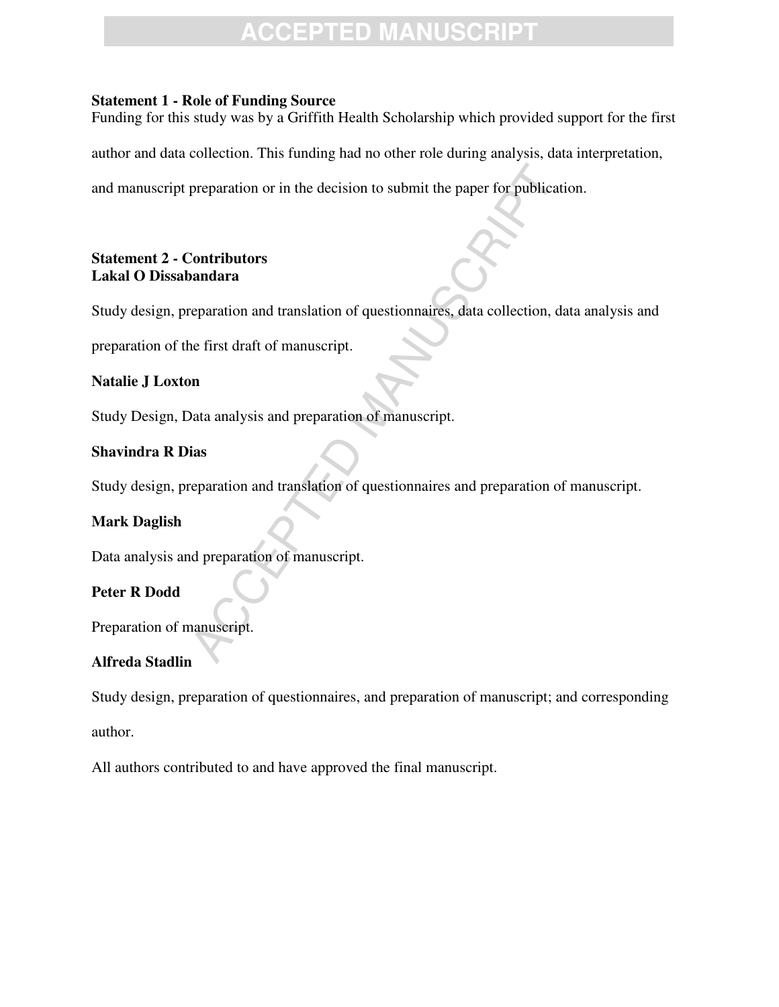# **EPTED MANU**

#### **Statement 1 - Role of Funding Source**

Funding for this study was by a Griffith Health Scholarship which provided support for the first

author and data collection. This funding had no other role during analysis, data interpretation,

preparation or in the decision to submit the paper for publication<br>
Contributors<br>
Contributors<br>
andara<br>
eparation and translation of questionnaires, data collection, da<br>
entist draft of manuscript.<br>
and<br>
analysis and prepa and manuscript preparation or in the decision to submit the paper for publication.

### **Statement 2 - Contributors Lakal O Dissabandara**

Study design, preparation and translation of questionnaires, data collection, data analysis and

preparation of the first draft of manuscript.

### **Natalie J Loxton**

Study Design, Data analysis and preparation of manuscript.

### **Shavindra R Dias**

Study design, preparation and translation of questionnaires and preparation of manuscript.

### **Mark Daglish**

Data analysis and preparation of manuscript.

### **Peter R Dodd**

Preparation of manuscript.

### **Alfreda Stadlin**

Study design, preparation of questionnaires, and preparation of manuscript; and corresponding author.

All authors contributed to and have approved the final manuscript.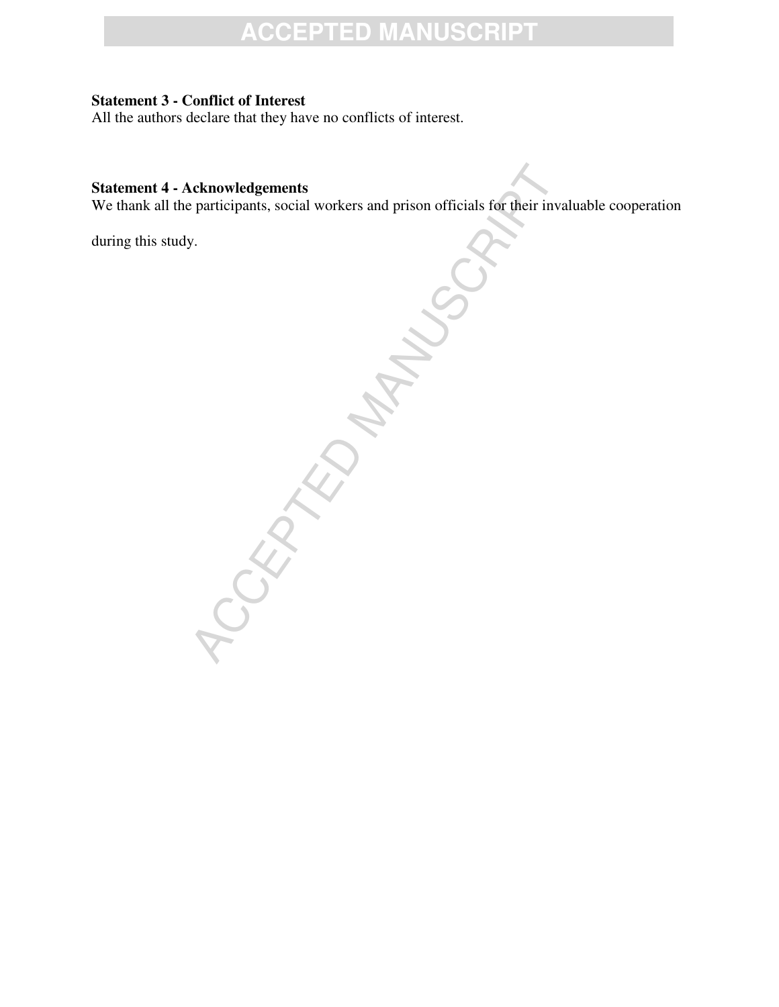### **Statement 3 - Conflict of Interest**

All the authors declare that they have no conflicts of interest.

### **Statement 4 - Acknowledgements**

We thank all the participants, social workers and prison officials for their invaluable cooperation

during this study.

ACCEPTED MANUSCRIPT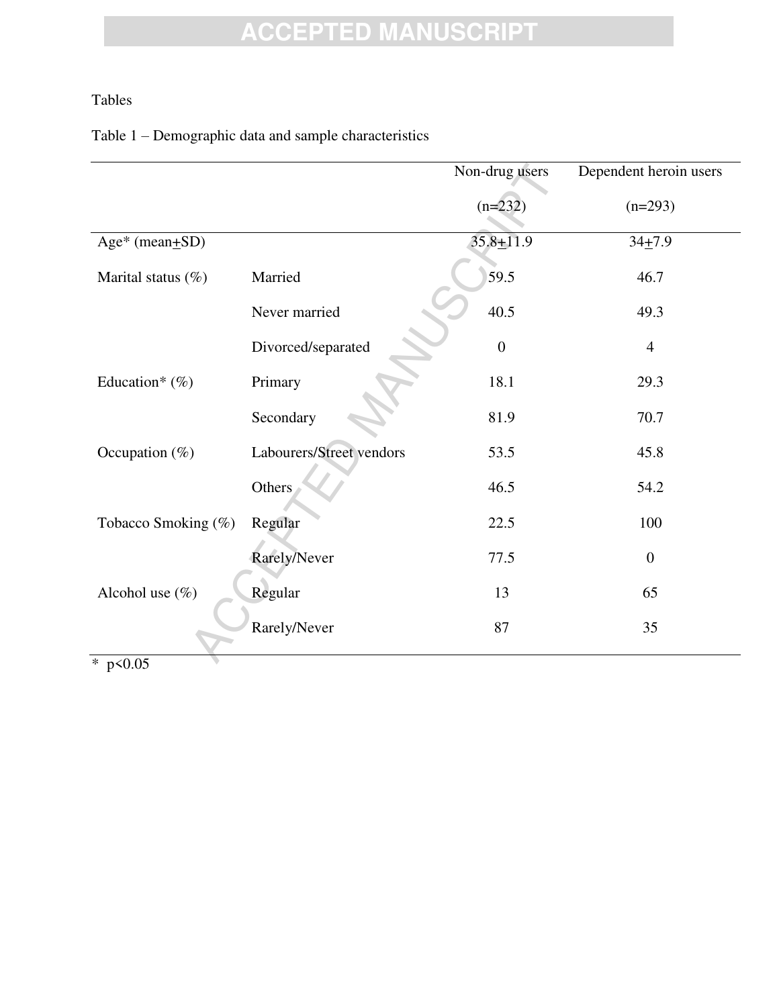### Tables

### Table 1 – Demographic data and sample characteristics

|                     |                          | Non-drug users | Dependent heroin users |
|---------------------|--------------------------|----------------|------------------------|
|                     |                          | $(n=232)$      | $(n=293)$              |
| Age* (mean+SD)      |                          | $35.8 + 11.9$  | $34 + 7.9$             |
| Marital status (%)  | Married                  | 59.5           | 46.7                   |
|                     | Never married            | 40.5           | 49.3                   |
|                     | Divorced/separated       | $\overline{0}$ | $\overline{4}$         |
| Education* $(\%)$   | Primary                  | 18.1           | 29.3                   |
|                     | Secondary                | 81.9           | 70.7                   |
| Occupation $(\%)$   | Labourers/Street vendors | 53.5           | 45.8                   |
|                     | Others                   | 46.5           | 54.2                   |
| Tobacco Smoking (%) | Regular                  | 22.5           | 100                    |
|                     | Rarely/Never             | 77.5           | $\mathbf{0}$           |
| Alcohol use $(\%)$  | Regular                  | 13             | 65                     |
|                     | Rarely/Never             | 87             | 35                     |
| * $p < 0.05$        |                          |                |                        |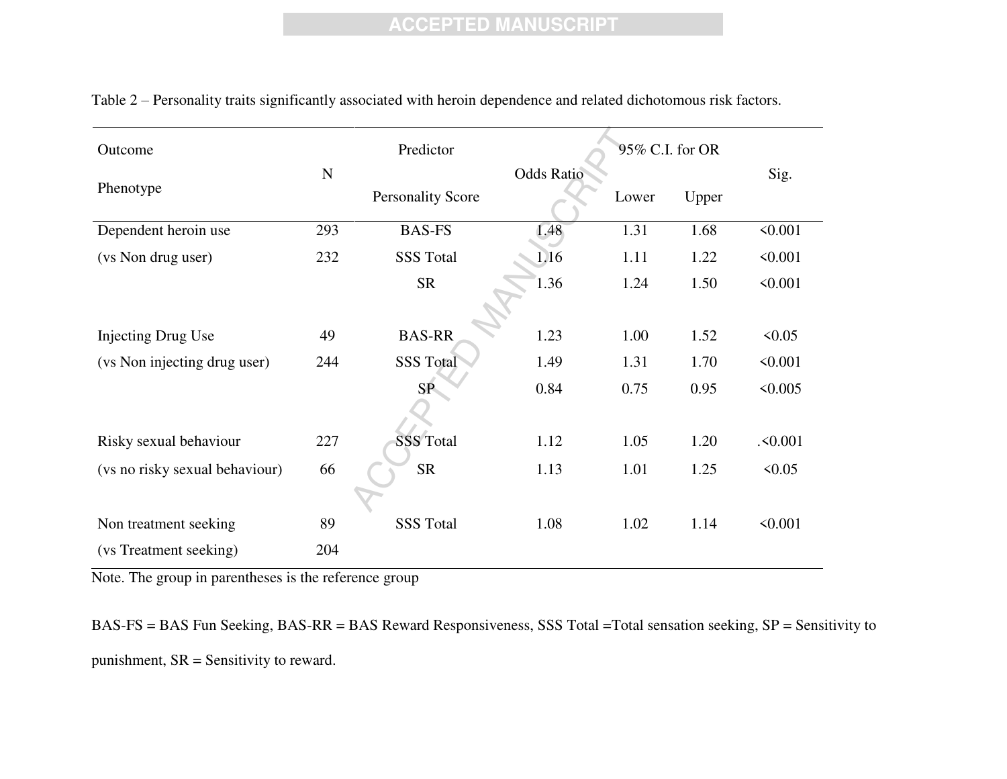| Outcome                        | Predictor   |                          |                   |       | 95% C.I. for OR |              |
|--------------------------------|-------------|--------------------------|-------------------|-------|-----------------|--------------|
|                                | $\mathbf N$ |                          | <b>Odds Ratio</b> |       |                 | Sig.         |
| Phenotype                      |             | <b>Personality Score</b> |                   | Lower | Upper           |              |
| Dependent heroin use           | 293         | <b>BAS-FS</b>            | 1.48              | 1.31  | 1.68            | $\le 0.001$  |
| (vs Non drug user)             | 232         | <b>SSS Total</b>         | 1.16              | 1.11  | 1.22            | $\le 0.001$  |
|                                |             | <b>SR</b>                | 1.36              | 1.24  | 1.50            | $\leq 0.001$ |
|                                |             |                          |                   |       |                 |              |
| <b>Injecting Drug Use</b>      | 49          | <b>BAS-RR</b>            | 1.23              | 1.00  | 1.52            | 50.05        |
| (vs Non injecting drug user)   | 244         | <b>SSS Total</b>         | 1.49              | 1.31  | 1.70            | $\le 0.001$  |
|                                |             | SP <sub>s</sub>          | 0.84              | 0.75  | 0.95            | $\leq 0.005$ |
|                                |             |                          |                   |       |                 |              |
| Risky sexual behaviour         | 227         | <b>SSS Total</b>         | 1.12              | 1.05  | 1.20            | .50.001      |
| (vs no risky sexual behaviour) | 66          | <b>SR</b>                | 1.13              | 1.01  | 1.25            | 50.05        |
|                                |             |                          |                   |       |                 |              |
| Non treatment seeking          | 89          | <b>SSS Total</b>         | 1.08              | 1.02  | 1.14            | < 0.001      |
| (vs Treatment seeking)         | 204         |                          |                   |       |                 |              |

Table 2 – Personality traits significantly associated with heroin dependence and related dichotomous risk factors.

Note. The group in parentheses is the reference group

BAS-FS = BAS Fun Seeking, BAS-RR = BAS Reward Responsiveness, SSS Total =Total sensation seeking, SP = Sensitivity to punishment, SR = Sensitivity to reward.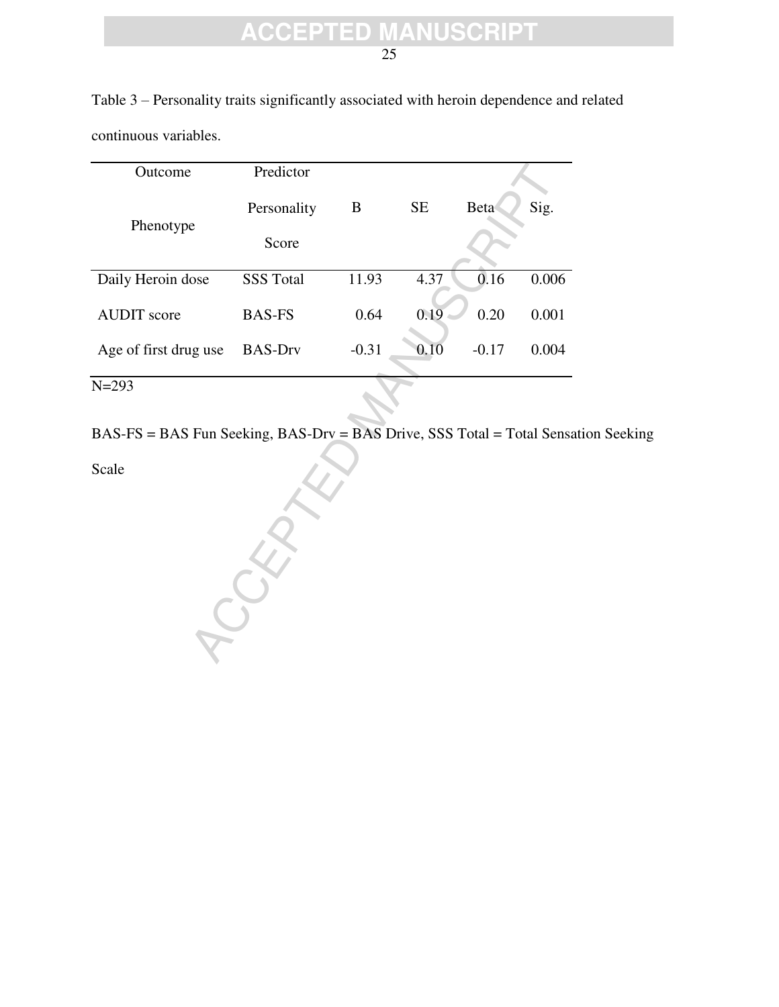25

| continuous variables. |                  |         |           |         |       |
|-----------------------|------------------|---------|-----------|---------|-------|
| Outcome               | Predictor        |         |           |         |       |
| Phenotype             | Personality      | B       | <b>SE</b> | Beta    | Sig.  |
|                       | Score            |         |           |         |       |
| Daily Heroin dose     | <b>SSS Total</b> | 11.93   | 4.37      | 0.16    | 0.006 |
| <b>AUDIT</b> score    | <b>BAS-FS</b>    | 0.64    | 0.19      | 0.20    | 0.001 |
| Age of first drug use | <b>BAS-Drv</b>   | $-0.31$ | 0.10      | $-0.17$ | 0.004 |
| $N = 293$             |                  |         |           |         |       |

Table 3 – Personality traits significantly associated with heroin dependence and related continuous variables.

BAS-FS = BAS Fun Seeking, BAS-Drv = BAS Drive, SSS Total = Total Sensation Seeking

Scale

REATE